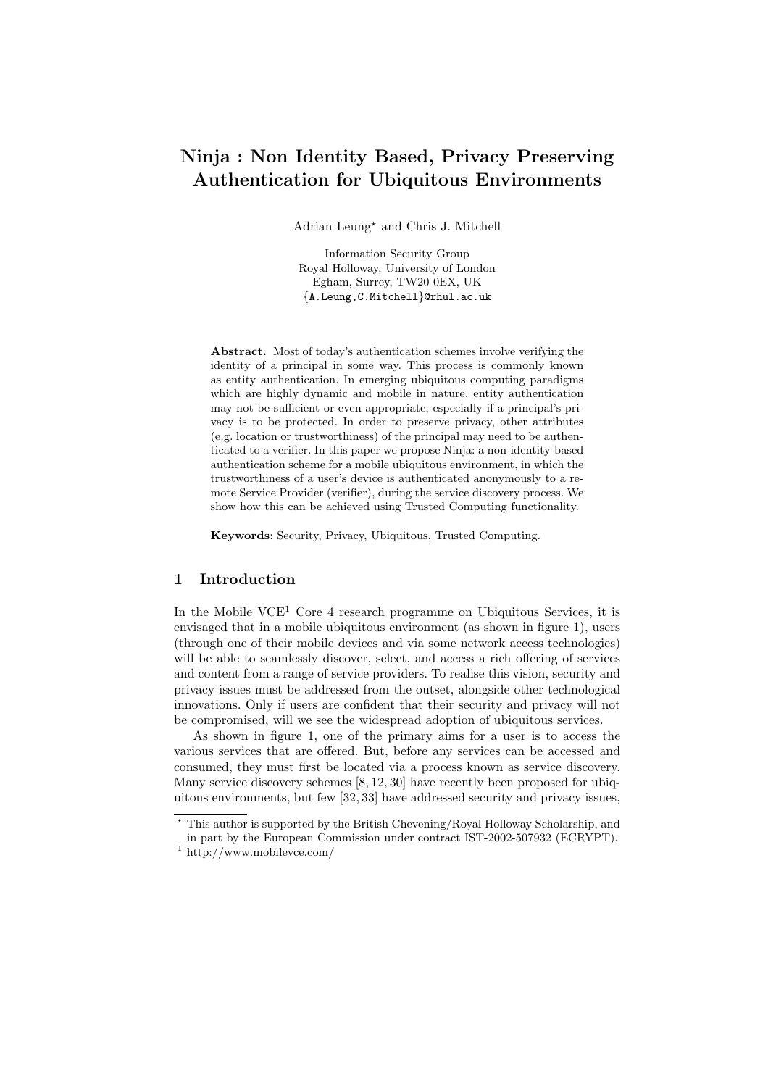# Ninja : Non Identity Based, Privacy Preserving Authentication for Ubiquitous Environments

Adrian Leung? and Chris J. Mitchell

Information Security Group Royal Holloway, University of London Egham, Surrey, TW20 0EX, UK {A.Leung,C.Mitchell}@rhul.ac.uk

Abstract. Most of today's authentication schemes involve verifying the identity of a principal in some way. This process is commonly known as entity authentication. In emerging ubiquitous computing paradigms which are highly dynamic and mobile in nature, entity authentication may not be sufficient or even appropriate, especially if a principal's privacy is to be protected. In order to preserve privacy, other attributes (e.g. location or trustworthiness) of the principal may need to be authenticated to a verifier. In this paper we propose Ninja: a non-identity-based authentication scheme for a mobile ubiquitous environment, in which the trustworthiness of a user's device is authenticated anonymously to a remote Service Provider (verifier), during the service discovery process. We show how this can be achieved using Trusted Computing functionality.

Keywords: Security, Privacy, Ubiquitous, Trusted Computing.

## 1 Introduction

In the Mobile  $VCE<sup>1</sup>$  Core 4 research programme on Ubiquitous Services, it is envisaged that in a mobile ubiquitous environment (as shown in figure 1), users (through one of their mobile devices and via some network access technologies) will be able to seamlessly discover, select, and access a rich offering of services and content from a range of service providers. To realise this vision, security and privacy issues must be addressed from the outset, alongside other technological innovations. Only if users are confident that their security and privacy will not be compromised, will we see the widespread adoption of ubiquitous services.

As shown in figure 1, one of the primary aims for a user is to access the various services that are offered. But, before any services can be accessed and consumed, they must first be located via a process known as service discovery. Many service discovery schemes [8, 12, 30] have recently been proposed for ubiquitous environments, but few [32, 33] have addressed security and privacy issues,

<sup>?</sup> This author is supported by the British Chevening/Royal Holloway Scholarship, and

in part by the European Commission under contract IST-2002-507932 (ECRYPT).

<sup>1</sup> http://www.mobilevce.com/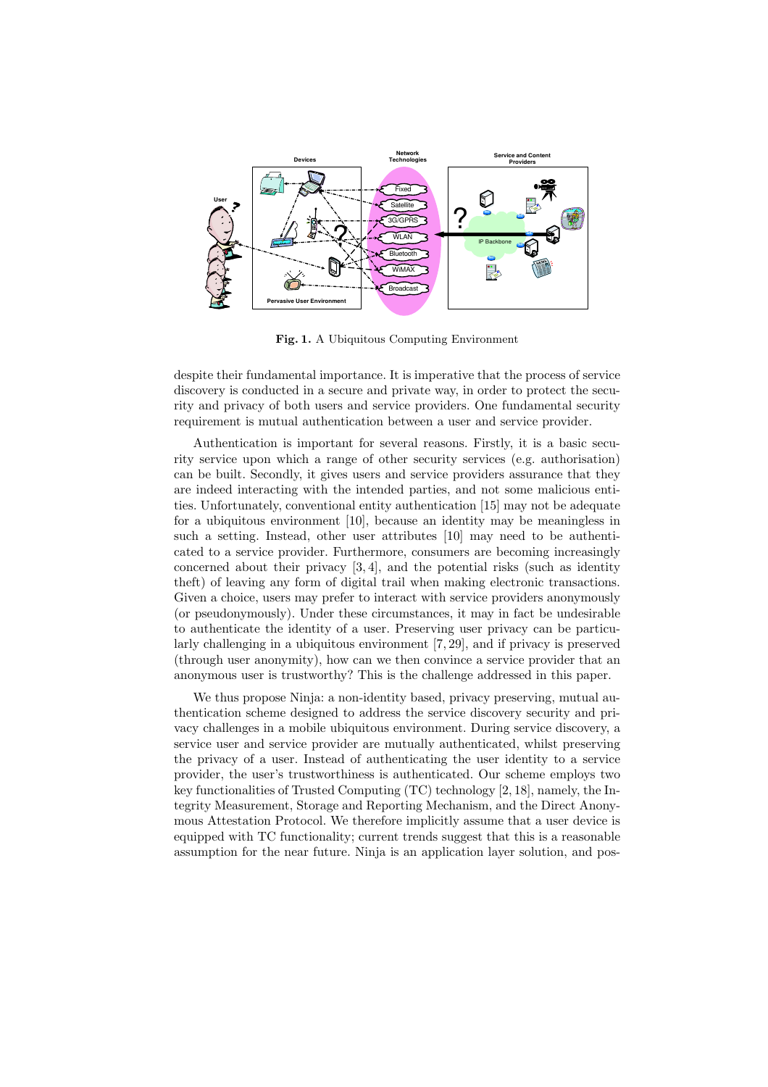

Fig. 1. A Ubiquitous Computing Environment

despite their fundamental importance. It is imperative that the process of service discovery is conducted in a secure and private way, in order to protect the security and privacy of both users and service providers. One fundamental security requirement is mutual authentication between a user and service provider.

Authentication is important for several reasons. Firstly, it is a basic security service upon which a range of other security services (e.g. authorisation) can be built. Secondly, it gives users and service providers assurance that they are indeed interacting with the intended parties, and not some malicious entities. Unfortunately, conventional entity authentication [15] may not be adequate for a ubiquitous environment [10], because an identity may be meaningless in such a setting. Instead, other user attributes [10] may need to be authenticated to a service provider. Furthermore, consumers are becoming increasingly concerned about their privacy  $[3, 4]$ , and the potential risks (such as identity theft) of leaving any form of digital trail when making electronic transactions. Given a choice, users may prefer to interact with service providers anonymously (or pseudonymously). Under these circumstances, it may in fact be undesirable to authenticate the identity of a user. Preserving user privacy can be particularly challenging in a ubiquitous environment [7, 29], and if privacy is preserved (through user anonymity), how can we then convince a service provider that an anonymous user is trustworthy? This is the challenge addressed in this paper.

We thus propose Ninja: a non-identity based, privacy preserving, mutual authentication scheme designed to address the service discovery security and privacy challenges in a mobile ubiquitous environment. During service discovery, a service user and service provider are mutually authenticated, whilst preserving the privacy of a user. Instead of authenticating the user identity to a service provider, the user's trustworthiness is authenticated. Our scheme employs two key functionalities of Trusted Computing (TC) technology [2, 18], namely, the Integrity Measurement, Storage and Reporting Mechanism, and the Direct Anonymous Attestation Protocol. We therefore implicitly assume that a user device is equipped with TC functionality; current trends suggest that this is a reasonable assumption for the near future. Ninja is an application layer solution, and pos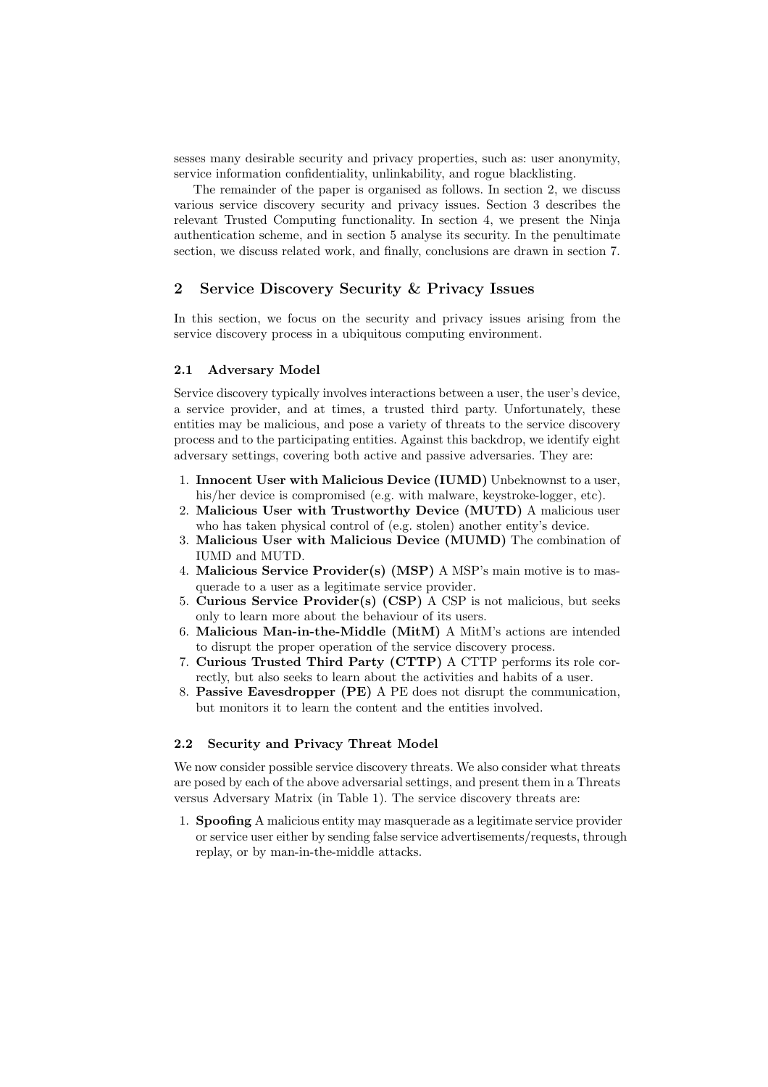sesses many desirable security and privacy properties, such as: user anonymity, service information confidentiality, unlinkability, and rogue blacklisting.

The remainder of the paper is organised as follows. In section 2, we discuss various service discovery security and privacy issues. Section 3 describes the relevant Trusted Computing functionality. In section 4, we present the Ninja authentication scheme, and in section 5 analyse its security. In the penultimate section, we discuss related work, and finally, conclusions are drawn in section 7.

# 2 Service Discovery Security & Privacy Issues

In this section, we focus on the security and privacy issues arising from the service discovery process in a ubiquitous computing environment.

#### 2.1 Adversary Model

Service discovery typically involves interactions between a user, the user's device, a service provider, and at times, a trusted third party. Unfortunately, these entities may be malicious, and pose a variety of threats to the service discovery process and to the participating entities. Against this backdrop, we identify eight adversary settings, covering both active and passive adversaries. They are:

- 1. Innocent User with Malicious Device (IUMD) Unbeknownst to a user, his/her device is compromised (e.g. with malware, keystroke-logger, etc).
- 2. Malicious User with Trustworthy Device (MUTD) A malicious user who has taken physical control of (e.g. stolen) another entity's device.
- 3. Malicious User with Malicious Device (MUMD) The combination of IUMD and MUTD.
- 4. Malicious Service Provider(s) (MSP) A MSP's main motive is to masquerade to a user as a legitimate service provider.
- 5. Curious Service Provider(s) (CSP) A CSP is not malicious, but seeks only to learn more about the behaviour of its users.
- 6. Malicious Man-in-the-Middle (MitM) A MitM's actions are intended to disrupt the proper operation of the service discovery process.
- 7. Curious Trusted Third Party (CTTP) A CTTP performs its role correctly, but also seeks to learn about the activities and habits of a user.
- 8. Passive Eavesdropper (PE) A PE does not disrupt the communication, but monitors it to learn the content and the entities involved.

## 2.2 Security and Privacy Threat Model

We now consider possible service discovery threats. We also consider what threats are posed by each of the above adversarial settings, and present them in a Threats versus Adversary Matrix (in Table 1). The service discovery threats are:

1. Spoofing A malicious entity may masquerade as a legitimate service provider or service user either by sending false service advertisements/requests, through replay, or by man-in-the-middle attacks.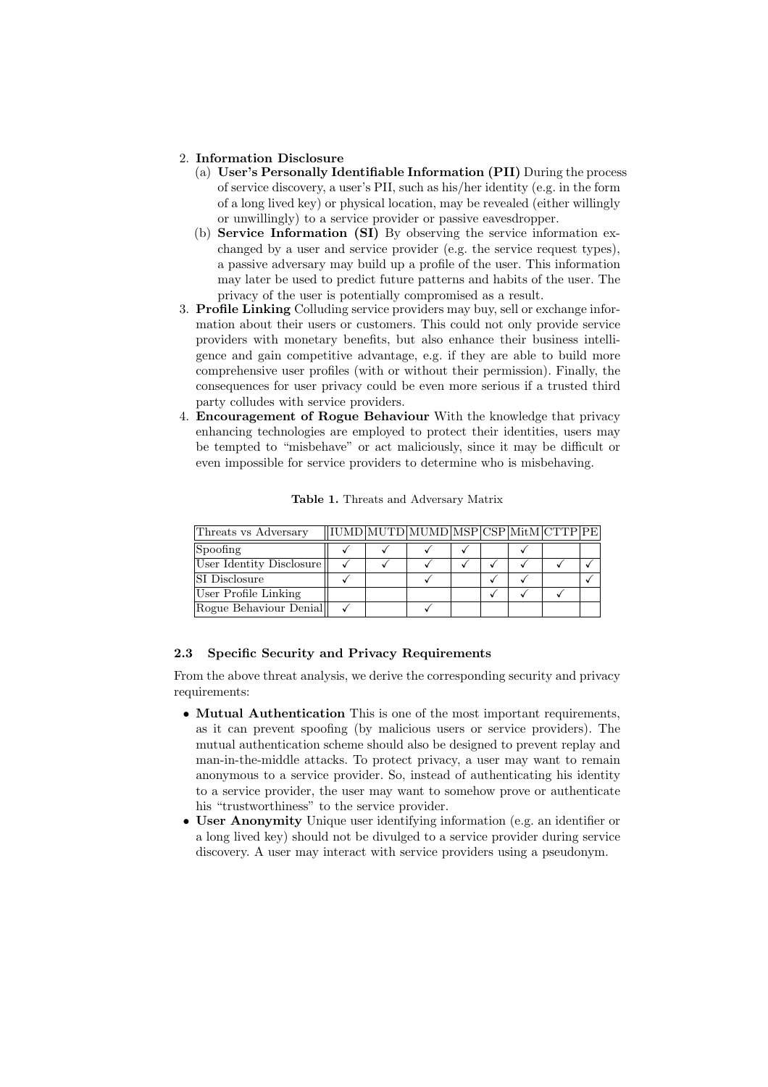## 2. Information Disclosure

- (a) User's Personally Identifiable Information (PII) During the process of service discovery, a user's PII, such as his/her identity (e.g. in the form of a long lived key) or physical location, may be revealed (either willingly or unwillingly) to a service provider or passive eavesdropper.
- (b) Service Information (SI) By observing the service information exchanged by a user and service provider (e.g. the service request types), a passive adversary may build up a profile of the user. This information may later be used to predict future patterns and habits of the user. The privacy of the user is potentially compromised as a result.
- 3. Profile Linking Colluding service providers may buy, sell or exchange information about their users or customers. This could not only provide service providers with monetary benefits, but also enhance their business intelligence and gain competitive advantage, e.g. if they are able to build more comprehensive user profiles (with or without their permission). Finally, the consequences for user privacy could be even more serious if a trusted third party colludes with service providers.
- 4. Encouragement of Rogue Behaviour With the knowledge that privacy enhancing technologies are employed to protect their identities, users may be tempted to "misbehave" or act maliciously, since it may be difficult or even impossible for service providers to determine who is misbehaving.

| Threats vs Adversary     |  | $\sqrt{\text{[IUMD/MUTD/MUMD/MSP]CSP/MitM}C}$ |  |  |  |
|--------------------------|--|-----------------------------------------------|--|--|--|
| $\beta$ poofing          |  |                                               |  |  |  |
| User Identity Disclosure |  |                                               |  |  |  |
| SI Disclosure            |  |                                               |  |  |  |
| User Profile Linking     |  |                                               |  |  |  |
| Rogue Behaviour Denial   |  |                                               |  |  |  |

Table 1. Threats and Adversary Matrix

#### 2.3 Specific Security and Privacy Requirements

From the above threat analysis, we derive the corresponding security and privacy requirements:

- Mutual Authentication This is one of the most important requirements, as it can prevent spoofing (by malicious users or service providers). The mutual authentication scheme should also be designed to prevent replay and man-in-the-middle attacks. To protect privacy, a user may want to remain anonymous to a service provider. So, instead of authenticating his identity to a service provider, the user may want to somehow prove or authenticate his "trustworthiness" to the service provider.
- User Anonymity Unique user identifying information (e.g. an identifier or a long lived key) should not be divulged to a service provider during service discovery. A user may interact with service providers using a pseudonym.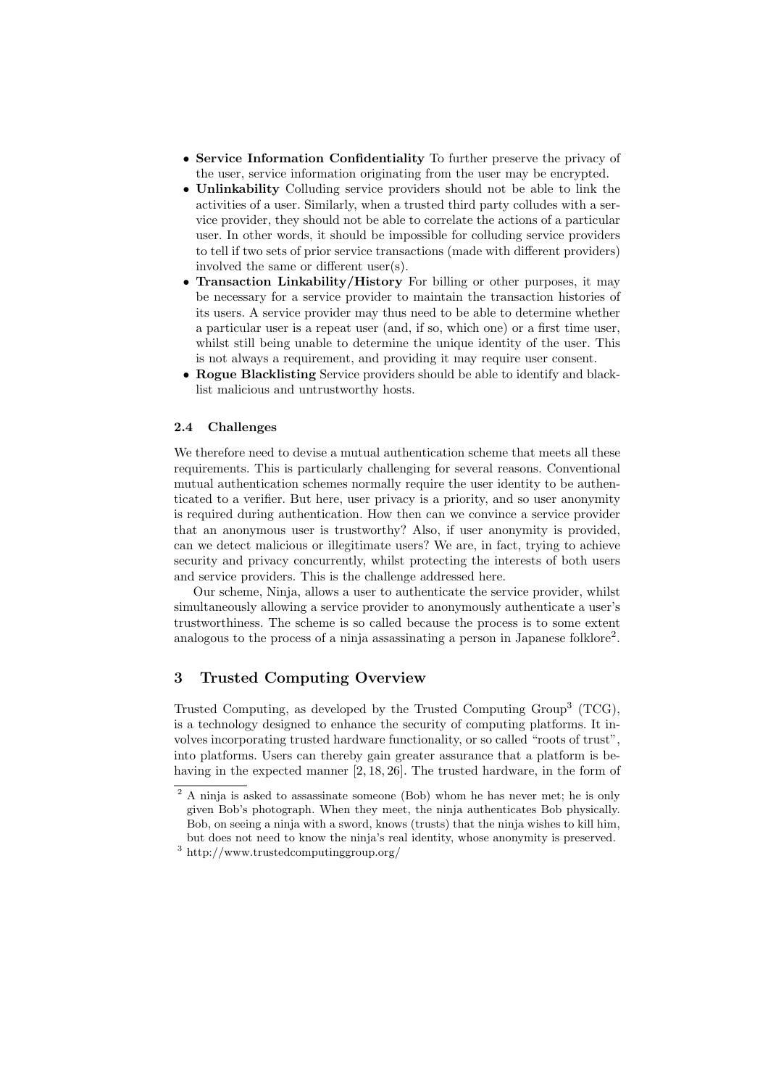- Service Information Confidentiality To further preserve the privacy of the user, service information originating from the user may be encrypted.
- Unlinkability Colluding service providers should not be able to link the activities of a user. Similarly, when a trusted third party colludes with a service provider, they should not be able to correlate the actions of a particular user. In other words, it should be impossible for colluding service providers to tell if two sets of prior service transactions (made with different providers) involved the same or different user(s).
- Transaction Linkability/History For billing or other purposes, it may be necessary for a service provider to maintain the transaction histories of its users. A service provider may thus need to be able to determine whether a particular user is a repeat user (and, if so, which one) or a first time user, whilst still being unable to determine the unique identity of the user. This is not always a requirement, and providing it may require user consent.
- Rogue Blacklisting Service providers should be able to identify and blacklist malicious and untrustworthy hosts.

#### 2.4 Challenges

We therefore need to devise a mutual authentication scheme that meets all these requirements. This is particularly challenging for several reasons. Conventional mutual authentication schemes normally require the user identity to be authenticated to a verifier. But here, user privacy is a priority, and so user anonymity is required during authentication. How then can we convince a service provider that an anonymous user is trustworthy? Also, if user anonymity is provided, can we detect malicious or illegitimate users? We are, in fact, trying to achieve security and privacy concurrently, whilst protecting the interests of both users and service providers. This is the challenge addressed here.

Our scheme, Ninja, allows a user to authenticate the service provider, whilst simultaneously allowing a service provider to anonymously authenticate a user's trustworthiness. The scheme is so called because the process is to some extent analogous to the process of a ninja assassinating a person in Japanese folklore<sup>2</sup>.

# 3 Trusted Computing Overview

Trusted Computing, as developed by the Trusted Computing Group<sup>3</sup> (TCG), is a technology designed to enhance the security of computing platforms. It involves incorporating trusted hardware functionality, or so called "roots of trust", into platforms. Users can thereby gain greater assurance that a platform is behaving in the expected manner [2, 18, 26]. The trusted hardware, in the form of

<sup>&</sup>lt;sup>2</sup> A ninja is asked to assassinate someone (Bob) whom he has never met; he is only given Bob's photograph. When they meet, the ninja authenticates Bob physically. Bob, on seeing a ninja with a sword, knows (trusts) that the ninja wishes to kill him, but does not need to know the ninja's real identity, whose anonymity is preserved.

<sup>3</sup> http://www.trustedcomputinggroup.org/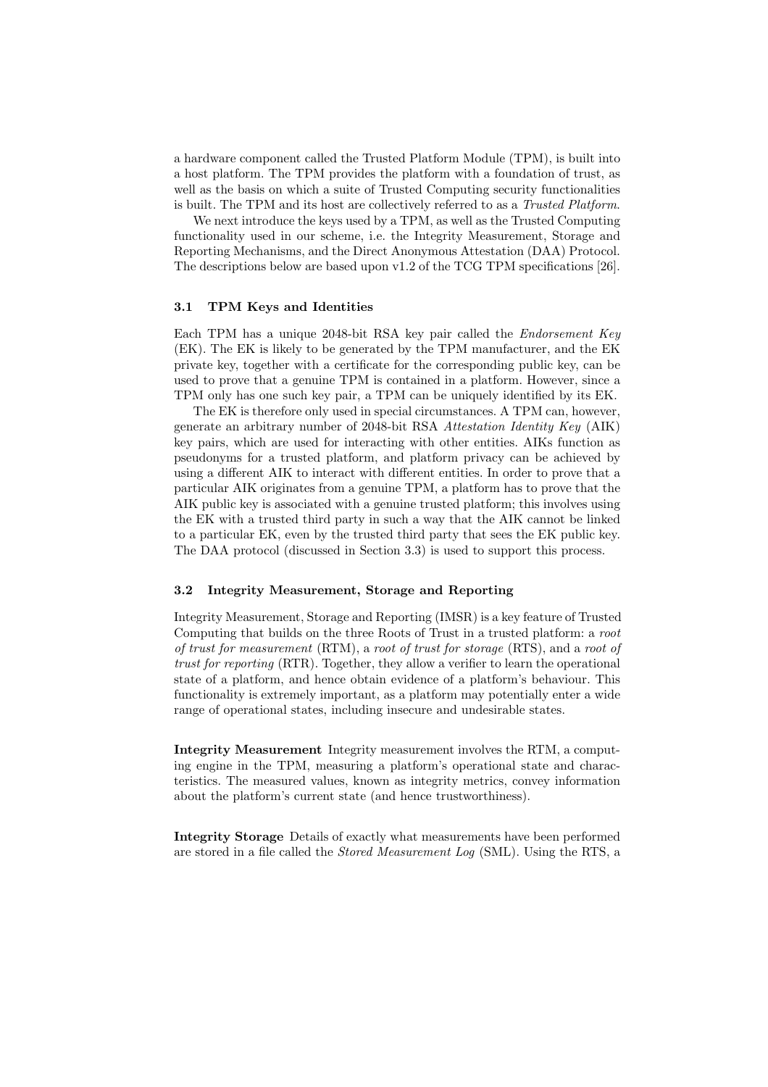a hardware component called the Trusted Platform Module (TPM), is built into a host platform. The TPM provides the platform with a foundation of trust, as well as the basis on which a suite of Trusted Computing security functionalities is built. The TPM and its host are collectively referred to as a Trusted Platform.

We next introduce the keys used by a TPM, as well as the Trusted Computing functionality used in our scheme, i.e. the Integrity Measurement, Storage and Reporting Mechanisms, and the Direct Anonymous Attestation (DAA) Protocol. The descriptions below are based upon v1.2 of the TCG TPM specifications [26].

#### 3.1 TPM Keys and Identities

Each TPM has a unique 2048-bit RSA key pair called the *Endorsement Key* (EK). The EK is likely to be generated by the TPM manufacturer, and the EK private key, together with a certificate for the corresponding public key, can be used to prove that a genuine TPM is contained in a platform. However, since a TPM only has one such key pair, a TPM can be uniquely identified by its EK.

The EK is therefore only used in special circumstances. A TPM can, however, generate an arbitrary number of 2048-bit RSA Attestation Identity Key (AIK) key pairs, which are used for interacting with other entities. AIKs function as pseudonyms for a trusted platform, and platform privacy can be achieved by using a different AIK to interact with different entities. In order to prove that a particular AIK originates from a genuine TPM, a platform has to prove that the AIK public key is associated with a genuine trusted platform; this involves using the EK with a trusted third party in such a way that the AIK cannot be linked to a particular EK, even by the trusted third party that sees the EK public key. The DAA protocol (discussed in Section 3.3) is used to support this process.

#### 3.2 Integrity Measurement, Storage and Reporting

Integrity Measurement, Storage and Reporting (IMSR) is a key feature of Trusted Computing that builds on the three Roots of Trust in a trusted platform: a root of trust for measurement (RTM), a root of trust for storage (RTS), and a root of trust for reporting (RTR). Together, they allow a verifier to learn the operational state of a platform, and hence obtain evidence of a platform's behaviour. This functionality is extremely important, as a platform may potentially enter a wide range of operational states, including insecure and undesirable states.

Integrity Measurement Integrity measurement involves the RTM, a computing engine in the TPM, measuring a platform's operational state and characteristics. The measured values, known as integrity metrics, convey information about the platform's current state (and hence trustworthiness).

Integrity Storage Details of exactly what measurements have been performed are stored in a file called the Stored Measurement Log (SML). Using the RTS, a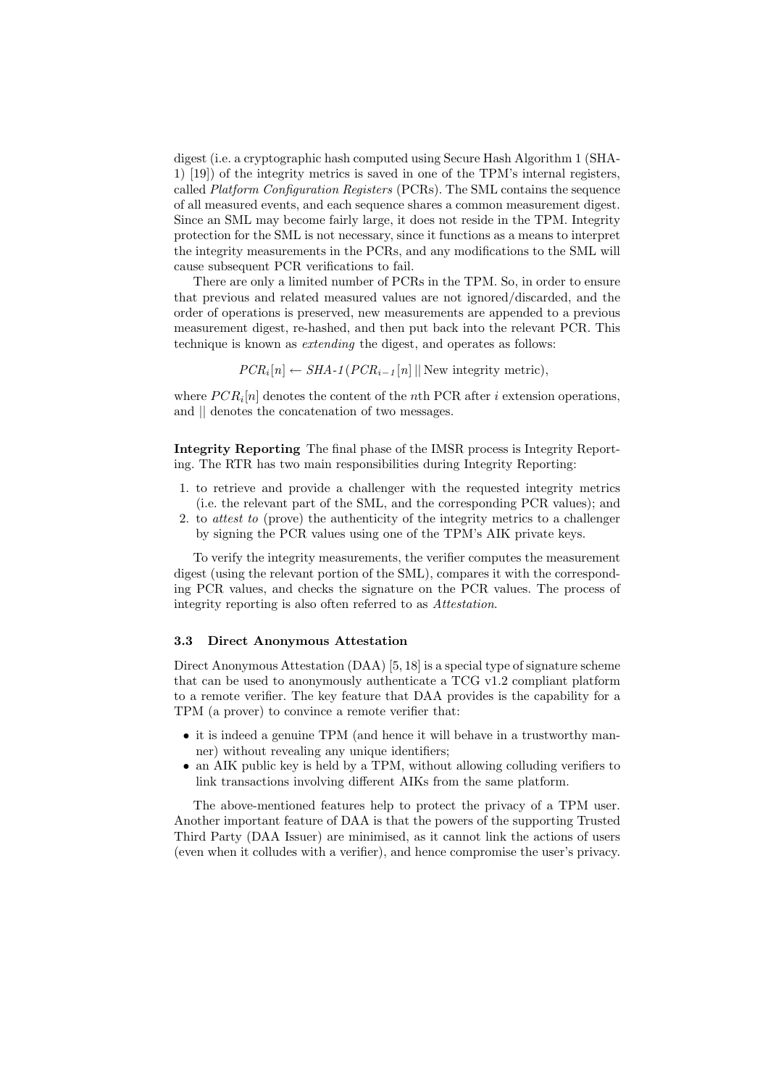digest (i.e. a cryptographic hash computed using Secure Hash Algorithm 1 (SHA-1) [19]) of the integrity metrics is saved in one of the TPM's internal registers, called Platform Configuration Registers (PCRs). The SML contains the sequence of all measured events, and each sequence shares a common measurement digest. Since an SML may become fairly large, it does not reside in the TPM. Integrity protection for the SML is not necessary, since it functions as a means to interpret the integrity measurements in the PCRs, and any modifications to the SML will cause subsequent PCR verifications to fail.

There are only a limited number of PCRs in the TPM. So, in order to ensure that previous and related measured values are not ignored/discarded, and the order of operations is preserved, new measurements are appended to a previous measurement digest, re-hashed, and then put back into the relevant PCR. This technique is known as extending the digest, and operates as follows:

 $PCR_i[n] \leftarrow SHA\text{-}1 (PCR_{i-1}[n] || \text{New integrity metric}),$ 

where  $PCR_i[n]$  denotes the content of the nth PCR after i extension operations, and || denotes the concatenation of two messages.

Integrity Reporting The final phase of the IMSR process is Integrity Reporting. The RTR has two main responsibilities during Integrity Reporting:

- 1. to retrieve and provide a challenger with the requested integrity metrics (i.e. the relevant part of the SML, and the corresponding PCR values); and
- 2. to attest to (prove) the authenticity of the integrity metrics to a challenger by signing the PCR values using one of the TPM's AIK private keys.

To verify the integrity measurements, the verifier computes the measurement digest (using the relevant portion of the SML), compares it with the corresponding PCR values, and checks the signature on the PCR values. The process of integrity reporting is also often referred to as Attestation.

#### 3.3 Direct Anonymous Attestation

Direct Anonymous Attestation (DAA) [5, 18] is a special type of signature scheme that can be used to anonymously authenticate a TCG v1.2 compliant platform to a remote verifier. The key feature that DAA provides is the capability for a TPM (a prover) to convince a remote verifier that:

- it is indeed a genuine TPM (and hence it will behave in a trustworthy manner) without revealing any unique identifiers;
- an AIK public key is held by a TPM, without allowing colluding verifiers to link transactions involving different AIKs from the same platform.

The above-mentioned features help to protect the privacy of a TPM user. Another important feature of DAA is that the powers of the supporting Trusted Third Party (DAA Issuer) are minimised, as it cannot link the actions of users (even when it colludes with a verifier), and hence compromise the user's privacy.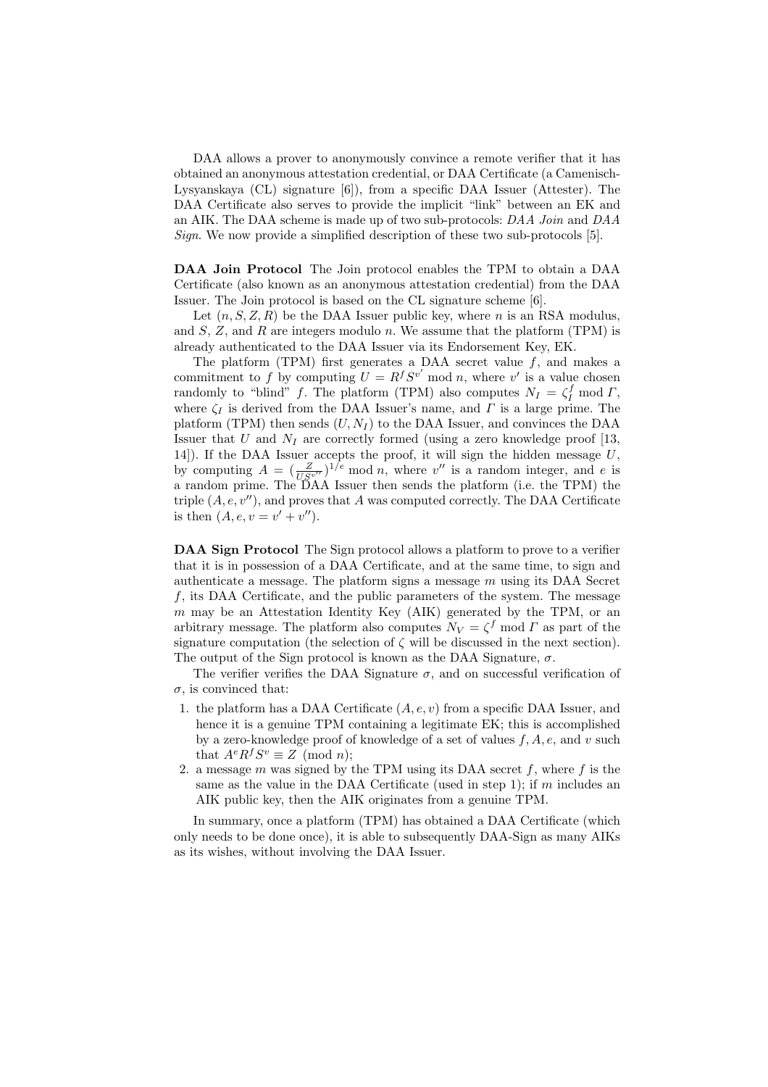DAA allows a prover to anonymously convince a remote verifier that it has obtained an anonymous attestation credential, or DAA Certificate (a Camenisch-Lysyanskaya (CL) signature [6]), from a specific DAA Issuer (Attester). The DAA Certificate also serves to provide the implicit "link" between an EK and an AIK. The DAA scheme is made up of two sub-protocols: DAA Join and DAA Sign. We now provide a simplified description of these two sub-protocols [5].

DAA Join Protocol The Join protocol enables the TPM to obtain a DAA Certificate (also known as an anonymous attestation credential) from the DAA Issuer. The Join protocol is based on the CL signature scheme [6].

Let  $(n, S, Z, R)$  be the DAA Issuer public key, where n is an RSA modulus, and  $S, Z$ , and  $R$  are integers modulo  $n$ . We assume that the platform (TPM) is already authenticated to the DAA Issuer via its Endorsement Key, EK.

The platform (TPM) first generates a DAA secret value  $f$ , and makes a commitment to f by computing  $U = R^f S^{v'}$  mod n, where v' is a value chosen randomly to "blind" f. The platform (TPM) also computes  $N_I = \zeta_I^f \mod \Gamma$ , where  $\zeta_I$  is derived from the DAA Issuer's name, and  $\Gamma$  is a large prime. The platform (TPM) then sends  $(U, N_I)$  to the DAA Issuer, and convinces the DAA Issuer that  $U$  and  $N_I$  are correctly formed (using a zero knowledge proof [13, 14.). If the DAA Issuer accepts the proof, it will sign the hidden message  $U$ , by computing  $A = \left(\frac{Z}{USv''}\right)^{1/e}$  mod n, where v'' is a random integer, and e is a random prime. The DAA Issuer then sends the platform (i.e. the TPM) the triple  $(A, e, v'')$ , and proves that A was computed correctly. The DAA Certificate is then  $(A, e, v = v' + v'')$ .

DAA Sign Protocol The Sign protocol allows a platform to prove to a verifier that it is in possession of a DAA Certificate, and at the same time, to sign and authenticate a message. The platform signs a message  $m$  using its DAA Secret  $f$ , its DAA Certificate, and the public parameters of the system. The message m may be an Attestation Identity Key (AIK) generated by the TPM, or an arbitrary message. The platform also computes  $N_V = \zeta^f \mod \Gamma$  as part of the signature computation (the selection of  $\zeta$  will be discussed in the next section). The output of the Sign protocol is known as the DAA Signature,  $\sigma$ .

The verifier verifies the DAA Signature  $\sigma$ , and on successful verification of  $\sigma$ , is convinced that:

- 1. the platform has a DAA Certificate  $(A, e, v)$  from a specific DAA Issuer, and hence it is a genuine TPM containing a legitimate EK; this is accomplished by a zero-knowledge proof of knowledge of a set of values  $f, A, e$ , and v such that  $A^e R^f S^v \equiv Z \pmod{n}$ ;
- 2. a message m was signed by the TPM using its DAA secret  $f$ , where  $f$  is the same as the value in the DAA Certificate (used in step 1); if  $m$  includes an AIK public key, then the AIK originates from a genuine TPM.

In summary, once a platform (TPM) has obtained a DAA Certificate (which only needs to be done once), it is able to subsequently DAA-Sign as many AIKs as its wishes, without involving the DAA Issuer.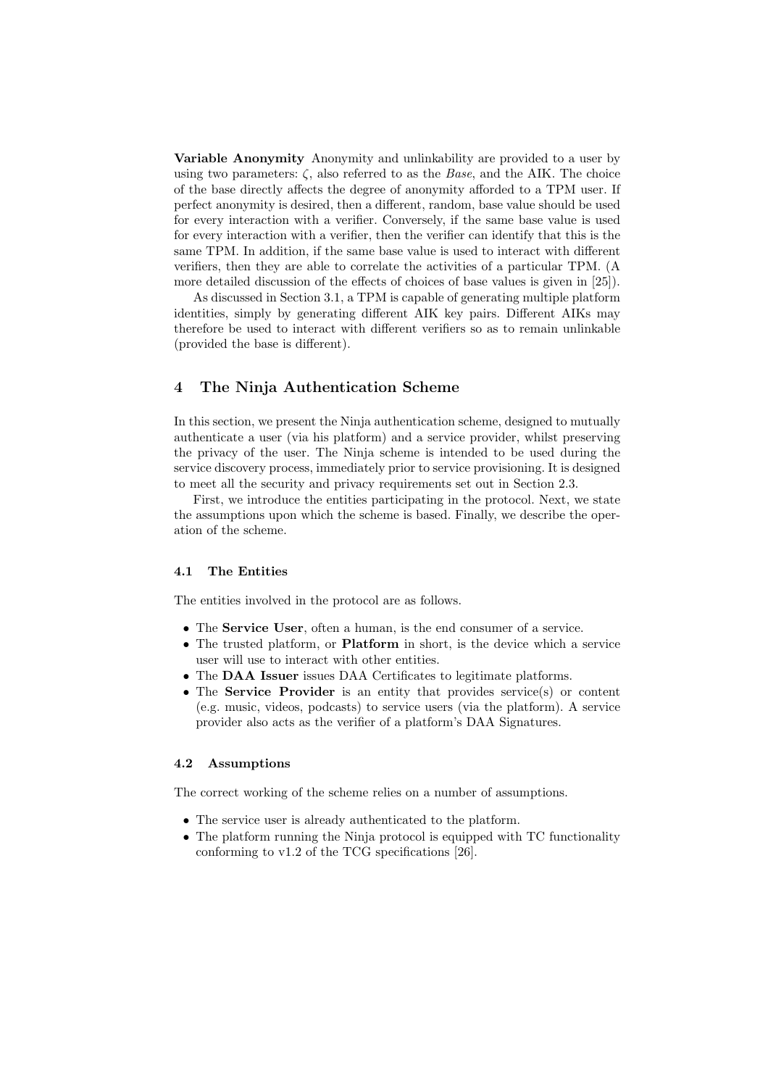Variable Anonymity Anonymity and unlinkability are provided to a user by using two parameters:  $\zeta$ , also referred to as the *Base*, and the AIK. The choice of the base directly affects the degree of anonymity afforded to a TPM user. If perfect anonymity is desired, then a different, random, base value should be used for every interaction with a verifier. Conversely, if the same base value is used for every interaction with a verifier, then the verifier can identify that this is the same TPM. In addition, if the same base value is used to interact with different verifiers, then they are able to correlate the activities of a particular TPM. (A more detailed discussion of the effects of choices of base values is given in [25]).

As discussed in Section 3.1, a TPM is capable of generating multiple platform identities, simply by generating different AIK key pairs. Different AIKs may therefore be used to interact with different verifiers so as to remain unlinkable (provided the base is different).

# 4 The Ninja Authentication Scheme

In this section, we present the Ninja authentication scheme, designed to mutually authenticate a user (via his platform) and a service provider, whilst preserving the privacy of the user. The Ninja scheme is intended to be used during the service discovery process, immediately prior to service provisioning. It is designed to meet all the security and privacy requirements set out in Section 2.3.

First, we introduce the entities participating in the protocol. Next, we state the assumptions upon which the scheme is based. Finally, we describe the operation of the scheme.

#### 4.1 The Entities

The entities involved in the protocol are as follows.

- The Service User, often a human, is the end consumer of a service.
- The trusted platform, or Platform in short, is the device which a service user will use to interact with other entities.
- The DAA Issuer issues DAA Certificates to legitimate platforms.
- The Service Provider is an entity that provides service(s) or content (e.g. music, videos, podcasts) to service users (via the platform). A service provider also acts as the verifier of a platform's DAA Signatures.

#### 4.2 Assumptions

The correct working of the scheme relies on a number of assumptions.

- The service user is already authenticated to the platform.
- The platform running the Ninja protocol is equipped with TC functionality conforming to v1.2 of the TCG specifications [26].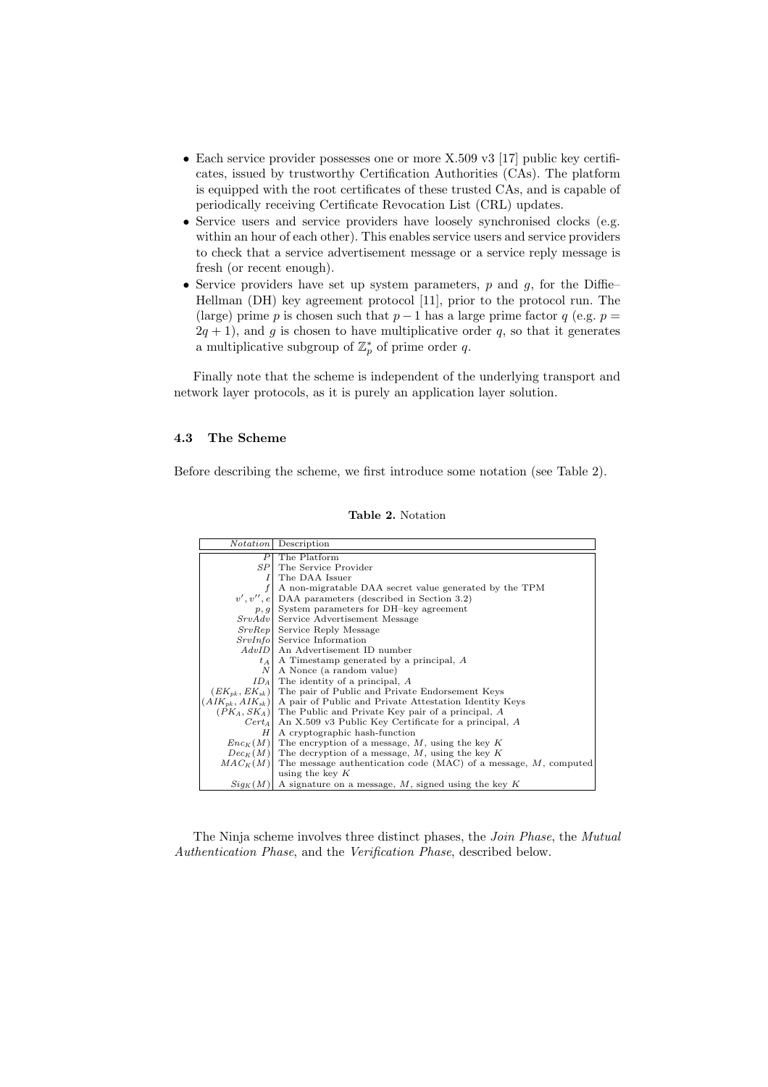- Each service provider possesses one or more X.509 v3 [17] public key certificates, issued by trustworthy Certification Authorities (CAs). The platform is equipped with the root certificates of these trusted CAs, and is capable of periodically receiving Certificate Revocation List (CRL) updates.
- Service users and service providers have loosely synchronised clocks (e.g. within an hour of each other). This enables service users and service providers to check that a service advertisement message or a service reply message is fresh (or recent enough).
- Service providers have set up system parameters,  $p$  and  $q$ , for the Diffie– Hellman (DH) key agreement protocol [11], prior to the protocol run. The (large) prime p is chosen such that  $p-1$  has a large prime factor q (e.g.  $p =$  $2q + 1$ , and g is chosen to have multiplicative order q, so that it generates a multiplicative subgroup of  $\mathbb{Z}_p^*$  of prime order q.

Finally note that the scheme is independent of the underlying transport and network layer protocols, as it is purely an application layer solution.

## 4.3 The Scheme

Before describing the scheme, we first introduce some notation (see Table 2).

|  | Notation                                       | Description                                                                                           |  |  |  |
|--|------------------------------------------------|-------------------------------------------------------------------------------------------------------|--|--|--|
|  | $\boldsymbol{P}$                               | The Platform                                                                                          |  |  |  |
|  | SP.                                            | The Service Provider                                                                                  |  |  |  |
|  | I                                              | The DAA Issuer                                                                                        |  |  |  |
|  |                                                | A non-migratable DAA secret value generated by the TPM                                                |  |  |  |
|  | v', v'', e                                     | DAA parameters (described in Section 3.2)                                                             |  |  |  |
|  | System parameters for DH-key agreement<br>p, q |                                                                                                       |  |  |  |
|  |                                                | Service Advertisement Message<br>SrvAdv                                                               |  |  |  |
|  |                                                | $SrvRep$ Service Reply Message                                                                        |  |  |  |
|  |                                                | $SrvInfo$ Service Information                                                                         |  |  |  |
|  | AdvID                                          | An Advertisement ID number                                                                            |  |  |  |
|  | $t_A$                                          | A Timestamp generated by a principal, A                                                               |  |  |  |
|  | N                                              | A Nonce (a random value)                                                                              |  |  |  |
|  | $ID_A$                                         | The identity of a principal, A                                                                        |  |  |  |
|  |                                                | $(EK_{pk}, EK_{sk})$ The pair of Public and Private Endorsement Keys                                  |  |  |  |
|  |                                                | $(AIK_{nk}, AIK_{sk})$ A pair of Public and Private Attestation Identity Keys                         |  |  |  |
|  |                                                | $(PK_A, SK_A)$ The Public and Private Key pair of a principal, A                                      |  |  |  |
|  |                                                | An X.509 v3 Public Key Certificate for a principal, A<br>$Cert_A$                                     |  |  |  |
|  |                                                | Н<br>A cryptographic hash-function                                                                    |  |  |  |
|  | $Enc_K(M)$<br>$Dec_{K}(M)$                     | The encryption of a message, $M$ , using the key $K$                                                  |  |  |  |
|  |                                                | The decryption of a message, $M$ , using the key $K$                                                  |  |  |  |
|  |                                                | The message authentication code (MAC) of a message, $M$ , computed<br>$MAC_K(M)$<br>using the key $K$ |  |  |  |
|  | $Sig_K(M)$                                     | A signature on a message, $M$ , signed using the key $K$                                              |  |  |  |
|  |                                                |                                                                                                       |  |  |  |

# Table 2. Notation

The Ninja scheme involves three distinct phases, the Join Phase, the Mutual Authentication Phase, and the Verification Phase, described below.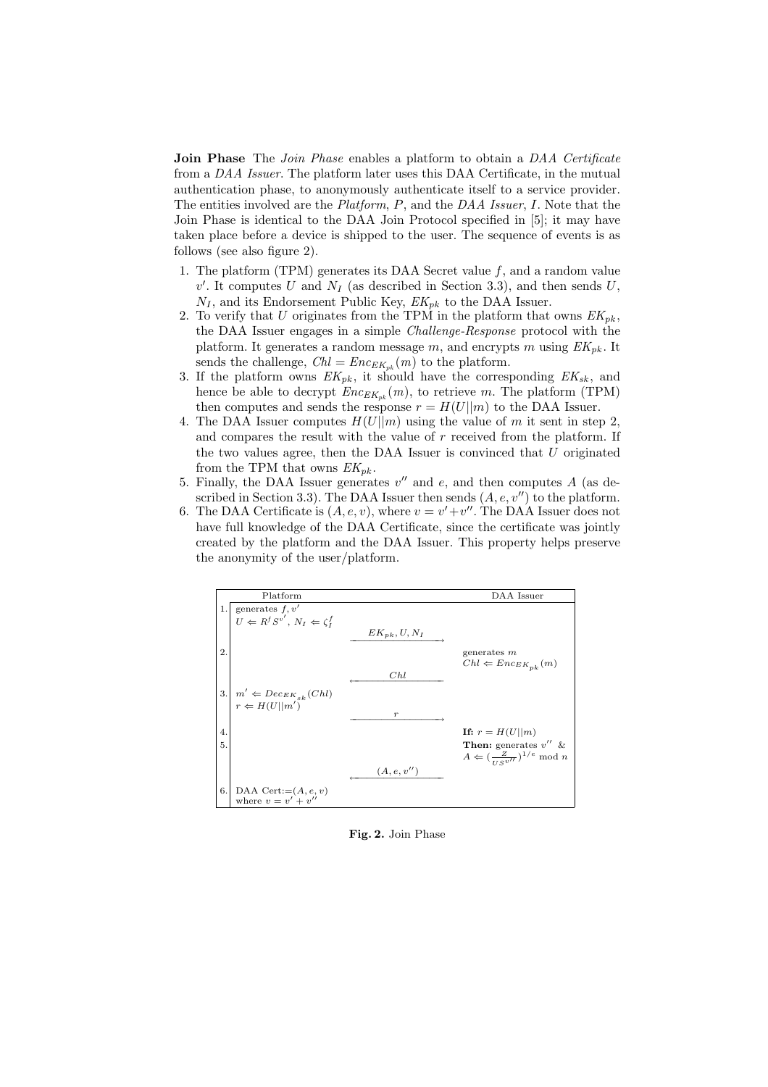**Join Phase** The *Join Phase* enables a platform to obtain a DAA Certificate from a DAA Issuer. The platform later uses this DAA Certificate, in the mutual authentication phase, to anonymously authenticate itself to a service provider. The entities involved are the Platform, P, and the DAA Issuer, I. Note that the Join Phase is identical to the DAA Join Protocol specified in [5]; it may have taken place before a device is shipped to the user. The sequence of events is as follows (see also figure 2).

- 1. The platform (TPM) generates its DAA Secret value  $f$ , and a random value  $v'$ . It computes U and  $N_I$  (as described in Section 3.3), and then sends U,  $N_I$ , and its Endorsement Public Key,  $EK_{pk}$  to the DAA Issuer.
- 2. To verify that U originates from the TPM in the platform that owns  $\mathit{EK}_{pk},$ the DAA Issuer engages in a simple Challenge-Response protocol with the platform. It generates a random message m, and encrypts m using  $EK_{nk}$ . It sends the challenge,  $Ch = Enc_{EK_{pk}}(m)$  to the platform.
- 3. If the platform owns  $EK_{pk}$ , it should have the corresponding  $EK_{sk}$ , and hence be able to decrypt  $Enc_{EK_{pk}}(m)$ , to retrieve m. The platform (TPM) then computes and sends the response  $r = H(U||m)$  to the DAA Issuer.
- 4. The DAA Issuer computes  $H(U||m)$  using the value of m it sent in step 2, and compares the result with the value of  $r$  received from the platform. If the two values agree, then the DAA Issuer is convinced that  $U$  originated from the TPM that owns  $EK_{pk}$ .
- 5. Finally, the DAA Issuer generates  $v''$  and e, and then computes A (as described in Section 3.3). The DAA Issuer then sends  $(A, e, v'')$  to the platform.
- 6. The DAA Certificate is  $(A, e, v)$ , where  $v = v' + v''$ . The DAA Issuer does not have full knowledge of the DAA Certificate, since the certificate was jointly created by the platform and the DAA Issuer. This property helps preserve the anonymity of the user/platform.



Fig. 2. Join Phase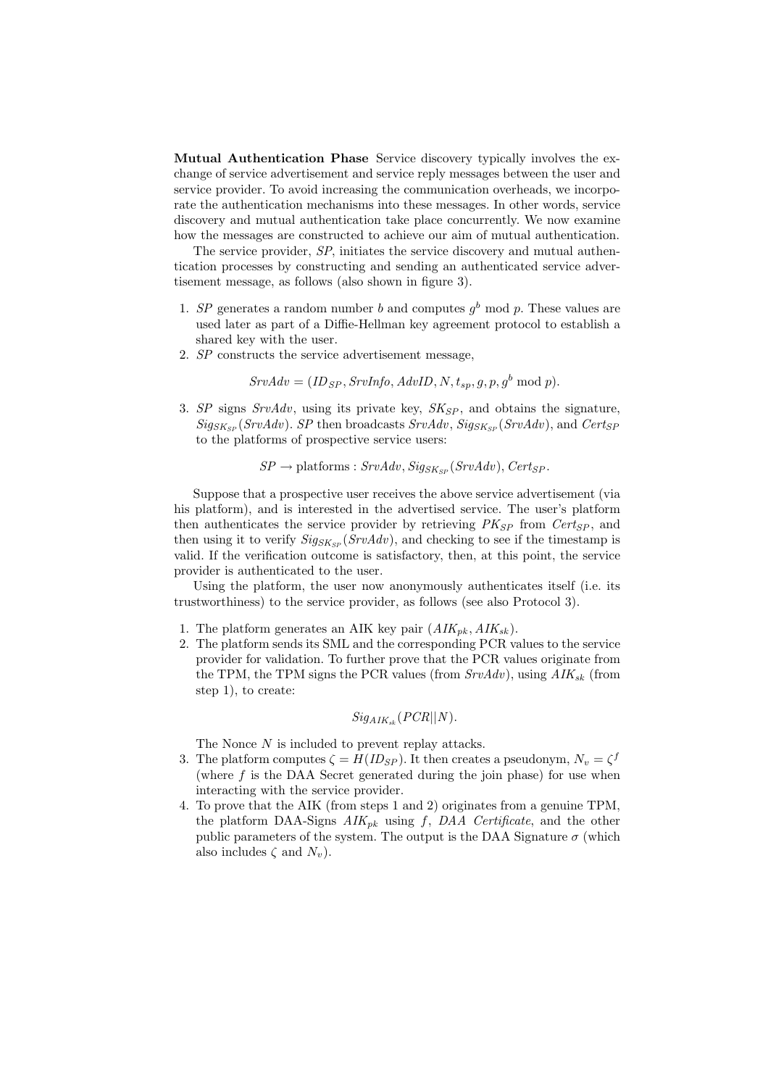Mutual Authentication Phase Service discovery typically involves the exchange of service advertisement and service reply messages between the user and service provider. To avoid increasing the communication overheads, we incorporate the authentication mechanisms into these messages. In other words, service discovery and mutual authentication take place concurrently. We now examine how the messages are constructed to achieve our aim of mutual authentication.

The service provider, SP, initiates the service discovery and mutual authentication processes by constructing and sending an authenticated service advertisement message, as follows (also shown in figure 3).

- 1. SP generates a random number b and computes  $g<sup>b</sup>$  mod p. These values are used later as part of a Diffie-Hellman key agreement protocol to establish a shared key with the user.
- 2. SP constructs the service advertisement message,

 $SrvAdv = (ID_{SP}, SrvInfo, AdvID, N, t_{sn}, q, p, q^b \mod p).$ 

3. SP signs SrvAdv, using its private key,  $SK_{SP}$ , and obtains the signature,  $Sig_{S K_{SP}}(S r v A dv)$ . SP then broadcasts  $S r v A dv$ ,  $Sig_{S K_{SP}}(S r v A dv)$ , and  $C erf_{SP}$ to the platforms of prospective service users:

 $SP \rightarrow$  platforms :  $SrvAdv, Sig_{SK_{SP}}(SrvAdv), Cert_{SP}$ .

Suppose that a prospective user receives the above service advertisement (via his platform), and is interested in the advertised service. The user's platform then authenticates the service provider by retrieving  $PK_{SP}$  from  $Cert_{SP}$ , and then using it to verify  $Sig_{SK_{SP}}(SrvAdv)$ , and checking to see if the timestamp is valid. If the verification outcome is satisfactory, then, at this point, the service provider is authenticated to the user.

Using the platform, the user now anonymously authenticates itself (i.e. its trustworthiness) to the service provider, as follows (see also Protocol 3).

- 1. The platform generates an AIK key pair  $(AIK_{pk}, AIK_{sk}).$
- 2. The platform sends its SML and the corresponding PCR values to the service provider for validation. To further prove that the PCR values originate from the TPM, the TPM signs the PCR values (from  $SrvAdv$ ), using  $AIK_{sk}$  (from step 1), to create:

$$
Sig_{AIK_{sk}}(PCR||N).
$$

The Nonce N is included to prevent replay attacks.

- 3. The platform computes  $\zeta = H(ID_{SP})$ . It then creates a pseudonym,  $N_v = \zeta^f$ (where  $f$  is the DAA Secret generated during the join phase) for use when interacting with the service provider.
- 4. To prove that the AIK (from steps 1 and 2) originates from a genuine TPM, the platform DAA-Signs  $AIK_{pk}$  using f, DAA Certificate, and the other public parameters of the system. The output is the DAA Signature  $\sigma$  (which also includes  $\zeta$  and  $N_v$ ).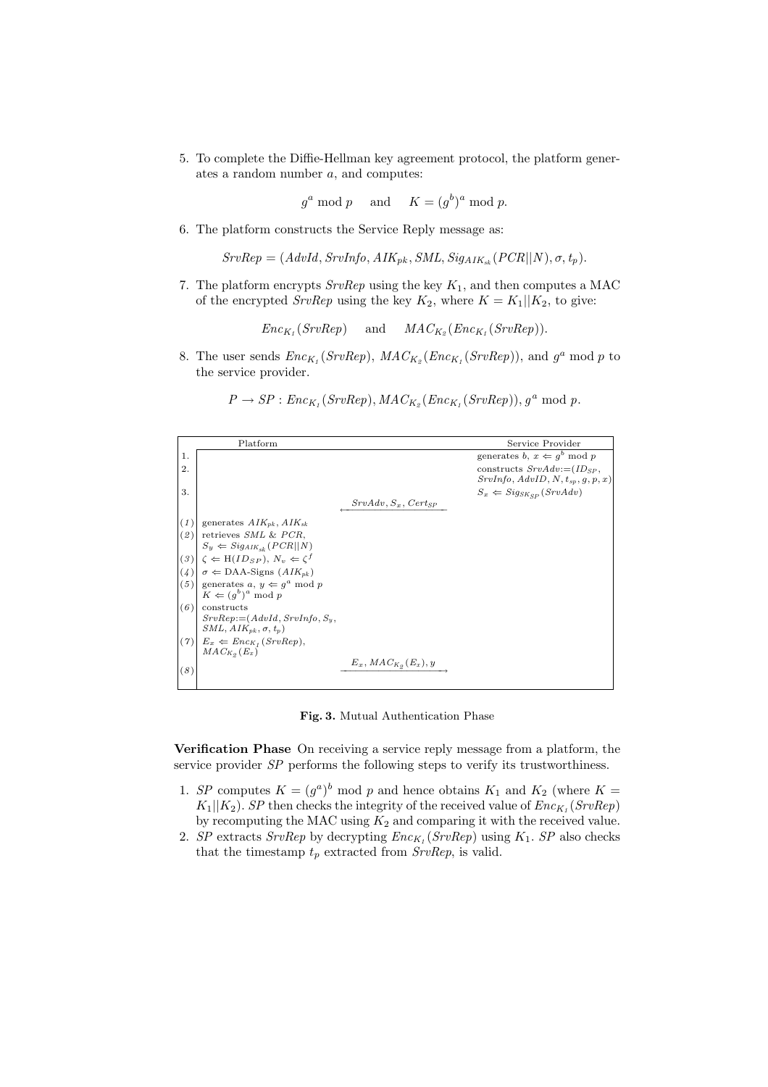5. To complete the Diffie-Hellman key agreement protocol, the platform generates a random number a, and computes:

 $g^a \bmod p$  and  $K = (g^b)^a \bmod p$ .

6. The platform constructs the Service Reply message as:

 $SrvRep = (AdvId, SrvInfo, AIK_{pk}, SML, Sig_{AIK_{sk}}(PCR||N), \sigma, t_p).$ 

7. The platform encrypts  $SrvRep$  using the key  $K_1$ , and then computes a MAC of the encrypted *SrvRep* using the key  $K_2$ , where  $K = K_1||K_2$ , to give:

 $Enc_{K_1}(SrvRep)$  and  $MAC_{K_2}(Enc_{K_1}(SrvRep)).$ 

8. The user sends  $Enc_{K_1}(SrvRep)$ ,  $MAC_{K_2}(Enc_{K_1}(SrvRep))$ , and  $g^a$  mod p to the service provider.

 $P \to SP : Enc_{K_1}(SrvRep), MAC_{K_2}(Enc_{K_1}(SrvRep)), g^a \text{ mod } p.$ 

|     | Platform                                                                      |                                      | Service Provider                                                        |
|-----|-------------------------------------------------------------------------------|--------------------------------------|-------------------------------------------------------------------------|
| 1.  |                                                                               |                                      | generates b, $x \Leftarrow q^b \mod p$                                  |
| 2.  |                                                                               |                                      | constructs $SrvAdv:=(ID_{SP},$<br>$SrvInfo, AdvID, N, t_{sp}, g, p, x)$ |
| 3.  |                                                                               |                                      | $S_x \Leftarrow Sig_{SK_{SP}}(SrvAdv)$                                  |
|     |                                                                               | $SrvAdv, S_x, Cert_{SP}$             |                                                                         |
| (1) | generates $AIK_{pk}$ , $AIK_{sk}$                                             |                                      |                                                                         |
| (2) | retrieves $SML \& PCR$ ,                                                      |                                      |                                                                         |
|     | $S_y \Leftarrow Sig_{AIK_{sk}}(PCR  N)$                                       |                                      |                                                                         |
|     | $(3) \vert \zeta \Leftarrow H(ID_{SP}), N_v \Leftarrow \zeta^f$               |                                      |                                                                         |
|     | $(4) \vert \sigma \Leftarrow$ DAA-Signs $(AIK_{pk})$                          |                                      |                                                                         |
|     | $(5)$ generates a, $y \Leftarrow q^a \mod p$<br>$K \Leftarrow (q^b)^a \mod p$ |                                      |                                                                         |
| (6) | constructs<br>$SrvRep := (AdvId, SrvInfo, S_u,$                               |                                      |                                                                         |
|     | $SML, AIK_{pk}, \sigma, t_p)$                                                 |                                      |                                                                         |
| (7) | $E_x \leftarrow Enc_{K_1}(SrvRep),$<br>$MAC_{K_0}(E_x)$                       |                                      |                                                                         |
| (8) |                                                                               | $E_x, MAC_{K_{\mathcal{Q}}}(E_x), y$ |                                                                         |
|     |                                                                               |                                      |                                                                         |

Fig. 3. Mutual Authentication Phase

Verification Phase On receiving a service reply message from a platform, the service provider SP performs the following steps to verify its trustworthiness.

- 1. SP computes  $K = (g^a)^b$  mod p and hence obtains  $K_1$  and  $K_2$  (where  $K =$  $K_1||K_2$ ). SP then checks the integrity of the received value of  $Enc_{K_1}(StvRep)$ by recomputing the MAC using  $K_2$  and comparing it with the received value.
- 2. SP extracts SrvRep by decrypting  $Enc_{K_1}(SrvRep)$  using  $K_1$ . SP also checks that the timestamp  $t_p$  extracted from  $SrvRep$ , is valid.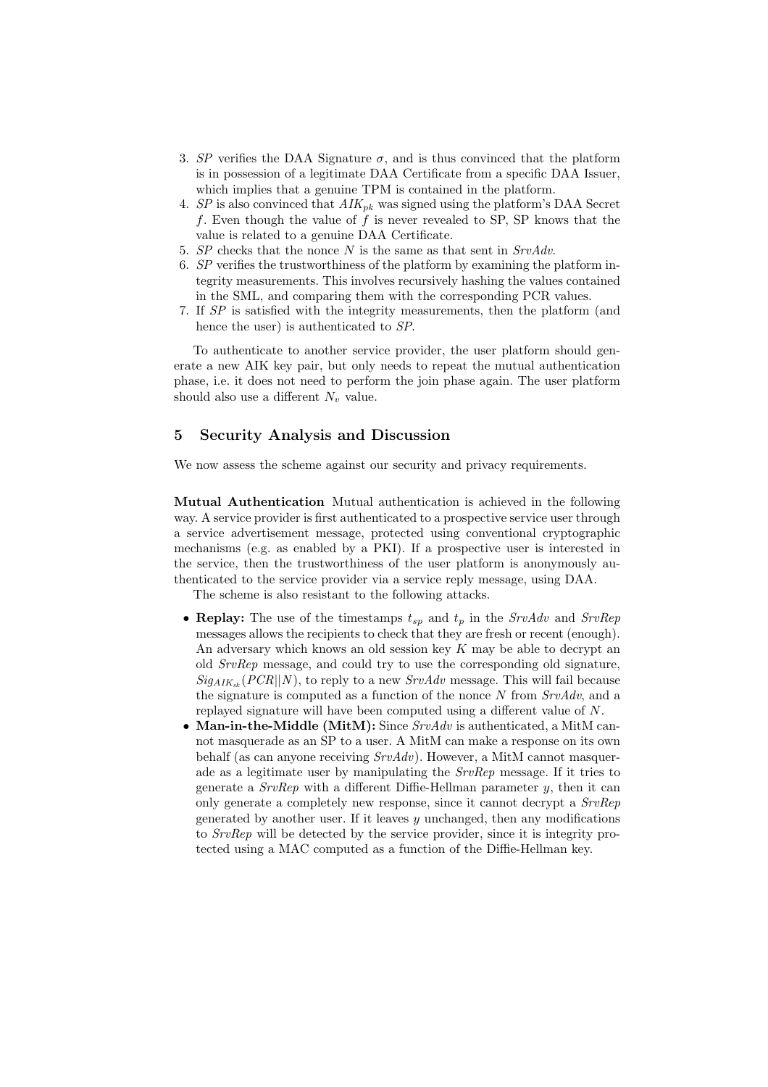- 3. SP verifies the DAA Signature  $\sigma$ , and is thus convinced that the platform is in possession of a legitimate DAA Certificate from a specific DAA Issuer, which implies that a genuine TPM is contained in the platform.
- 4. SP is also convinced that  $AIK_{pk}$  was signed using the platform's DAA Secret f. Even though the value of f is never revealed to SP, SP knows that the value is related to a genuine DAA Certificate.
- 5. SP checks that the nonce N is the same as that sent in SrvAdv.
- 6. SP verifies the trustworthiness of the platform by examining the platform integrity measurements. This involves recursively hashing the values contained in the SML, and comparing them with the corresponding PCR values.
- 7. If SP is satisfied with the integrity measurements, then the platform (and hence the user) is authenticated to SP.

To authenticate to another service provider, the user platform should generate a new AIK key pair, but only needs to repeat the mutual authentication phase, i.e. it does not need to perform the join phase again. The user platform should also use a different  $N_v$ , value.

## 5 Security Analysis and Discussion

We now assess the scheme against our security and privacy requirements.

Mutual Authentication Mutual authentication is achieved in the following way. A service provider is first authenticated to a prospective service user through a service advertisement message, protected using conventional cryptographic mechanisms (e.g. as enabled by a PKI). If a prospective user is interested in the service, then the trustworthiness of the user platform is anonymously authenticated to the service provider via a service reply message, using DAA.

The scheme is also resistant to the following attacks.

- Replay: The use of the timestamps  $t_{sp}$  and  $t_p$  in the SrvAdv and SrvRep messages allows the recipients to check that they are fresh or recent (enough). An adversary which knows an old session key  $K$  may be able to decrypt an old SrvRep message, and could try to use the corresponding old signature,  $Sig_{AIK_{st}}(PCR||N)$ , to reply to a new  $SrvAdv$  message. This will fail because the signature is computed as a function of the nonce N from  $SruAdv$ , and a replayed signature will have been computed using a different value of N.
- Man-in-the-Middle (MitM): Since  $SrvAdv$  is authenticated, a MitM cannot masquerade as an SP to a user. A MitM can make a response on its own behalf (as can anyone receiving  $SrvAdv$ ). However, a MitM cannot masquerade as a legitimate user by manipulating the SrvRep message. If it tries to generate a  $SrvRep$  with a different Diffie-Hellman parameter y, then it can only generate a completely new response, since it cannot decrypt a SrvRep generated by another user. If it leaves  $y$  unchanged, then any modifications to SrvRep will be detected by the service provider, since it is integrity protected using a MAC computed as a function of the Diffie-Hellman key.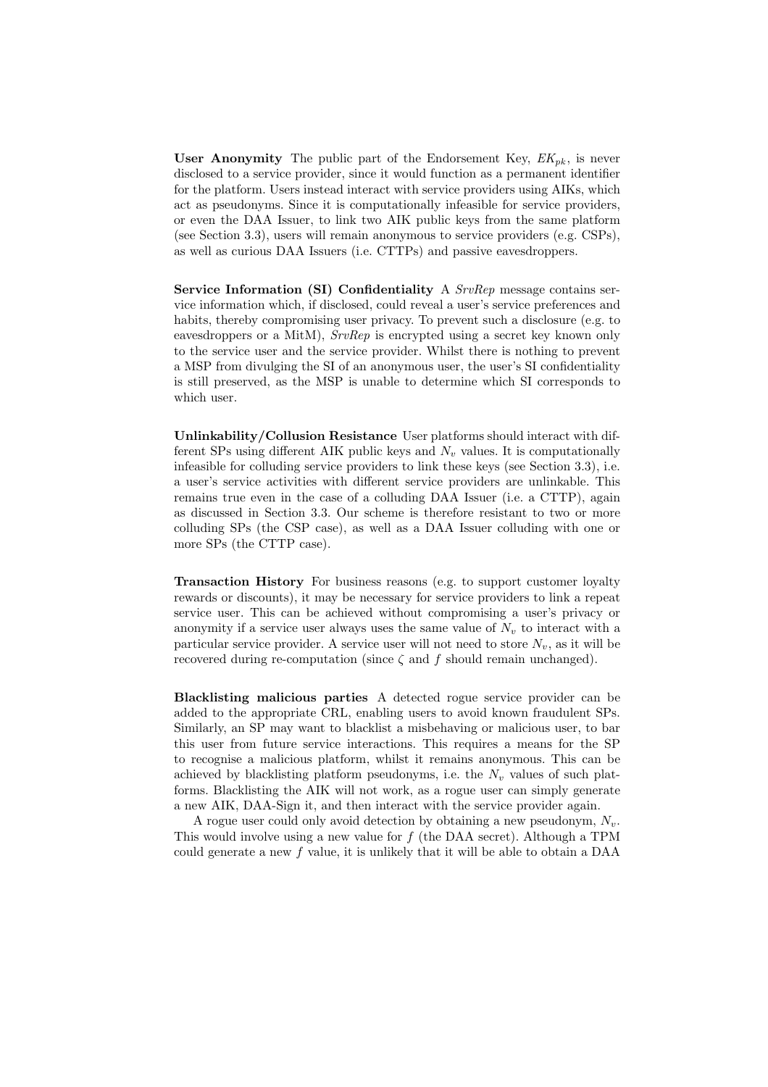User Anonymity The public part of the Endorsement Key,  $EK_{pk}$ , is never disclosed to a service provider, since it would function as a permanent identifier for the platform. Users instead interact with service providers using AIKs, which act as pseudonyms. Since it is computationally infeasible for service providers, or even the DAA Issuer, to link two AIK public keys from the same platform (see Section 3.3), users will remain anonymous to service providers (e.g. CSPs), as well as curious DAA Issuers (i.e. CTTPs) and passive eavesdroppers.

Service Information (SI) Confidentiality A SrvRep message contains service information which, if disclosed, could reveal a user's service preferences and habits, thereby compromising user privacy. To prevent such a disclosure (e.g. to eavesdroppers or a MitM),  $SrvRep$  is encrypted using a secret key known only to the service user and the service provider. Whilst there is nothing to prevent a MSP from divulging the SI of an anonymous user, the user's SI confidentiality is still preserved, as the MSP is unable to determine which SI corresponds to which user.

Unlinkability/Collusion Resistance User platforms should interact with different SPs using different AIK public keys and  $N_v$  values. It is computationally infeasible for colluding service providers to link these keys (see Section 3.3), i.e. a user's service activities with different service providers are unlinkable. This remains true even in the case of a colluding DAA Issuer (i.e. a CTTP), again as discussed in Section 3.3. Our scheme is therefore resistant to two or more colluding SPs (the CSP case), as well as a DAA Issuer colluding with one or more SPs (the CTTP case).

Transaction History For business reasons (e.g. to support customer loyalty rewards or discounts), it may be necessary for service providers to link a repeat service user. This can be achieved without compromising a user's privacy or anonymity if a service user always uses the same value of  $N_v$  to interact with a particular service provider. A service user will not need to store  $N_v$ , as it will be recovered during re-computation (since  $\zeta$  and  $f$  should remain unchanged).

Blacklisting malicious parties A detected rogue service provider can be added to the appropriate CRL, enabling users to avoid known fraudulent SPs. Similarly, an SP may want to blacklist a misbehaving or malicious user, to bar this user from future service interactions. This requires a means for the SP to recognise a malicious platform, whilst it remains anonymous. This can be achieved by blacklisting platform pseudonyms, i.e. the  $N_v$  values of such platforms. Blacklisting the AIK will not work, as a rogue user can simply generate a new AIK, DAA-Sign it, and then interact with the service provider again.

A rogue user could only avoid detection by obtaining a new pseudonym,  $N_v$ . This would involve using a new value for  $f$  (the DAA secret). Although a TPM could generate a new f value, it is unlikely that it will be able to obtain a DAA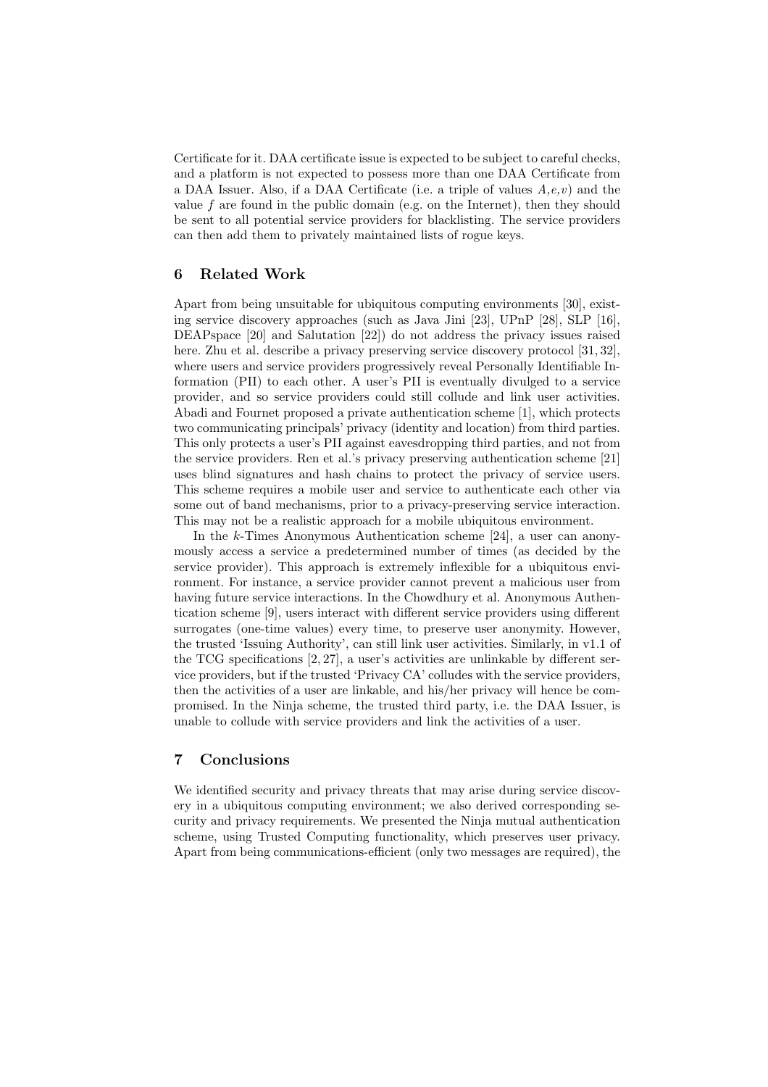Certificate for it. DAA certificate issue is expected to be subject to careful checks, and a platform is not expected to possess more than one DAA Certificate from a DAA Issuer. Also, if a DAA Certificate (i.e. a triple of values  $A, e, v$ ) and the value  $f$  are found in the public domain (e.g. on the Internet), then they should be sent to all potential service providers for blacklisting. The service providers can then add them to privately maintained lists of rogue keys.

# 6 Related Work

Apart from being unsuitable for ubiquitous computing environments [30], existing service discovery approaches (such as Java Jini [23], UPnP [28], SLP [16], DEAPspace [20] and Salutation [22]) do not address the privacy issues raised here. Zhu et al. describe a privacy preserving service discovery protocol [31, 32], where users and service providers progressively reveal Personally Identifiable Information (PII) to each other. A user's PII is eventually divulged to a service provider, and so service providers could still collude and link user activities. Abadi and Fournet proposed a private authentication scheme [1], which protects two communicating principals' privacy (identity and location) from third parties. This only protects a user's PII against eavesdropping third parties, and not from the service providers. Ren et al.'s privacy preserving authentication scheme [21] uses blind signatures and hash chains to protect the privacy of service users. This scheme requires a mobile user and service to authenticate each other via some out of band mechanisms, prior to a privacy-preserving service interaction. This may not be a realistic approach for a mobile ubiquitous environment.

In the k-Times Anonymous Authentication scheme [24], a user can anonymously access a service a predetermined number of times (as decided by the service provider). This approach is extremely inflexible for a ubiquitous environment. For instance, a service provider cannot prevent a malicious user from having future service interactions. In the Chowdhury et al. Anonymous Authentication scheme [9], users interact with different service providers using different surrogates (one-time values) every time, to preserve user anonymity. However, the trusted 'Issuing Authority', can still link user activities. Similarly, in v1.1 of the TCG specifications [2, 27], a user's activities are unlinkable by different service providers, but if the trusted 'Privacy CA' colludes with the service providers, then the activities of a user are linkable, and his/her privacy will hence be compromised. In the Ninja scheme, the trusted third party, i.e. the DAA Issuer, is unable to collude with service providers and link the activities of a user.

## 7 Conclusions

We identified security and privacy threats that may arise during service discovery in a ubiquitous computing environment; we also derived corresponding security and privacy requirements. We presented the Ninja mutual authentication scheme, using Trusted Computing functionality, which preserves user privacy. Apart from being communications-efficient (only two messages are required), the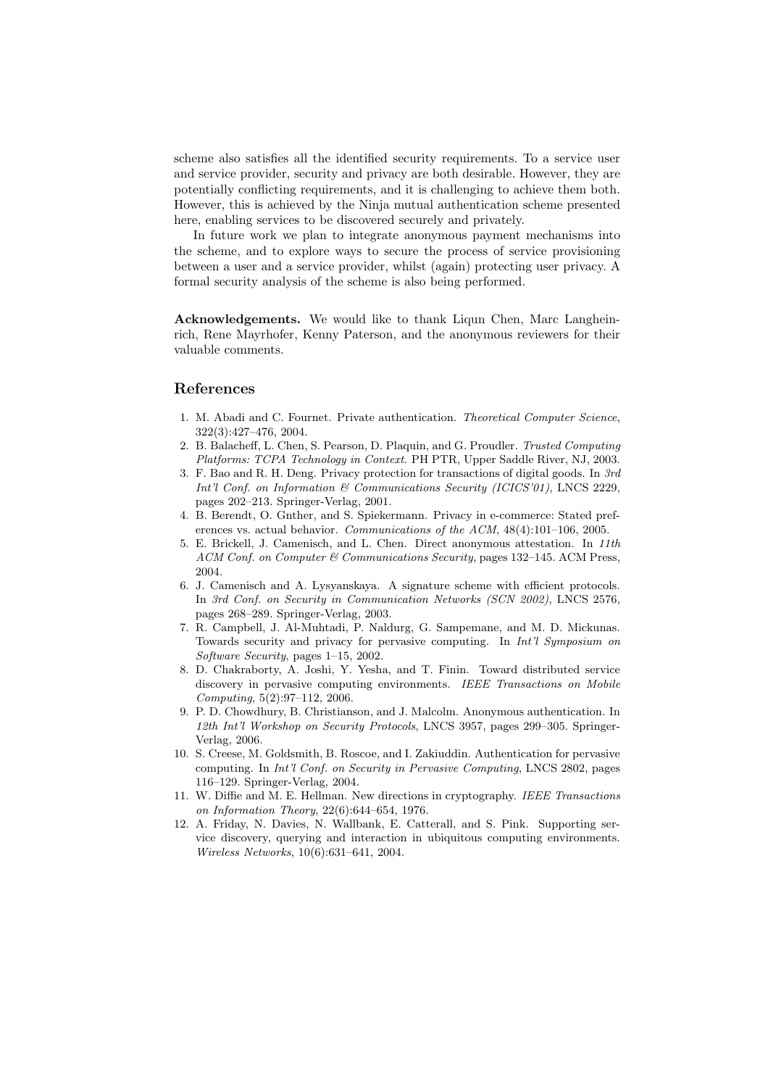scheme also satisfies all the identified security requirements. To a service user and service provider, security and privacy are both desirable. However, they are potentially conflicting requirements, and it is challenging to achieve them both. However, this is achieved by the Ninja mutual authentication scheme presented here, enabling services to be discovered securely and privately.

In future work we plan to integrate anonymous payment mechanisms into the scheme, and to explore ways to secure the process of service provisioning between a user and a service provider, whilst (again) protecting user privacy. A formal security analysis of the scheme is also being performed.

Acknowledgements. We would like to thank Liqun Chen, Marc Langheinrich, Rene Mayrhofer, Kenny Paterson, and the anonymous reviewers for their valuable comments.

# References

- 1. M. Abadi and C. Fournet. Private authentication. Theoretical Computer Science, 322(3):427–476, 2004.
- 2. B. Balacheff, L. Chen, S. Pearson, D. Plaquin, and G. Proudler. Trusted Computing Platforms: TCPA Technology in Context. PH PTR, Upper Saddle River, NJ, 2003.
- 3. F. Bao and R. H. Deng. Privacy protection for transactions of digital goods. In 3rd Int'l Conf. on Information & Communications Security (ICICS'01), LNCS 2229, pages 202–213. Springer-Verlag, 2001.
- 4. B. Berendt, O. Gnther, and S. Spiekermann. Privacy in e-commerce: Stated preferences vs. actual behavior. Communications of the ACM, 48(4):101–106, 2005.
- 5. E. Brickell, J. Camenisch, and L. Chen. Direct anonymous attestation. In 11th ACM Conf. on Computer & Communications Security, pages 132-145. ACM Press, 2004.
- 6. J. Camenisch and A. Lysyanskaya. A signature scheme with efficient protocols. In 3rd Conf. on Security in Communication Networks (SCN 2002), LNCS 2576, pages 268–289. Springer-Verlag, 2003.
- 7. R. Campbell, J. Al-Muhtadi, P. Naldurg, G. Sampemane, and M. D. Mickunas. Towards security and privacy for pervasive computing. In Int'l Symposium on Software Security, pages 1–15, 2002.
- 8. D. Chakraborty, A. Joshi, Y. Yesha, and T. Finin. Toward distributed service discovery in pervasive computing environments. IEEE Transactions on Mobile Computing, 5(2):97–112, 2006.
- 9. P. D. Chowdhury, B. Christianson, and J. Malcolm. Anonymous authentication. In 12th Int'l Workshop on Security Protocols, LNCS 3957, pages 299–305. Springer-Verlag, 2006.
- 10. S. Creese, M. Goldsmith, B. Roscoe, and I. Zakiuddin. Authentication for pervasive computing. In Int'l Conf. on Security in Pervasive Computing, LNCS 2802, pages 116–129. Springer-Verlag, 2004.
- 11. W. Diffie and M. E. Hellman. New directions in cryptography. IEEE Transactions on Information Theory, 22(6):644–654, 1976.
- 12. A. Friday, N. Davies, N. Wallbank, E. Catterall, and S. Pink. Supporting service discovery, querying and interaction in ubiquitous computing environments. Wireless Networks, 10(6):631–641, 2004.